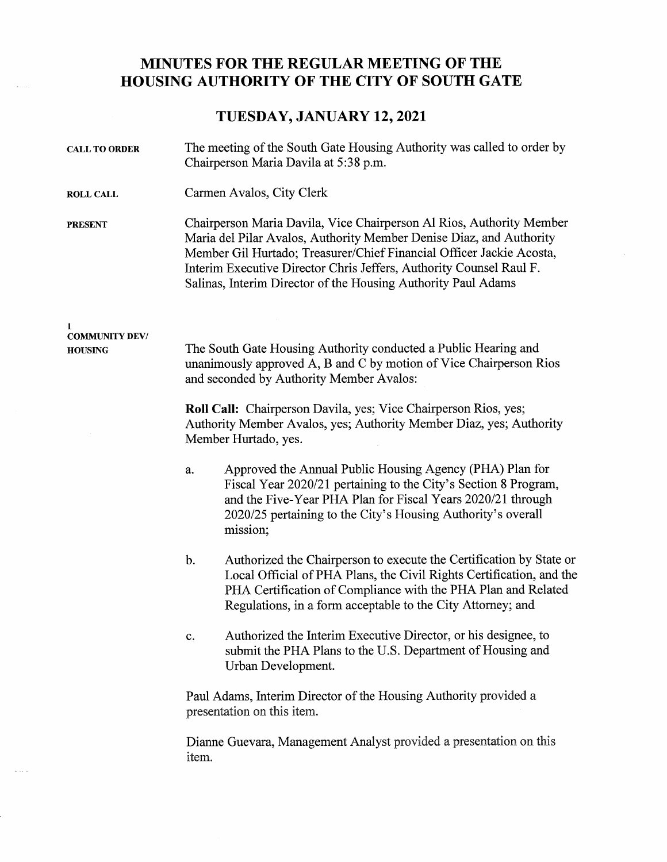## MINUTES FOR THE REGULAR MEETING OF THE HOUSING AUTHORITY OF THE CITY OF SOUTH GATE

## TUESDAY, JANUARY 12, 2021

| <b>CALL TO ORDER</b>                         | The meeting of the South Gate Housing Authority was called to order by<br>Chairperson Maria Davila at 5:38 p.m.                                                                                                                                                                                                                                             |
|----------------------------------------------|-------------------------------------------------------------------------------------------------------------------------------------------------------------------------------------------------------------------------------------------------------------------------------------------------------------------------------------------------------------|
| <b>ROLL CALL</b>                             | Carmen Avalos, City Clerk                                                                                                                                                                                                                                                                                                                                   |
| <b>PRESENT</b>                               | Chairperson Maria Davila, Vice Chairperson Al Rios, Authority Member<br>Maria del Pilar Avalos, Authority Member Denise Diaz, and Authority<br>Member Gil Hurtado; Treasurer/Chief Financial Officer Jackie Acosta,<br>Interim Executive Director Chris Jeffers, Authority Counsel Raul F.<br>Salinas, Interim Director of the Housing Authority Paul Adams |
| 1<br><b>COMMUNITY DEV/</b><br><b>HOUSING</b> | The South Gate Housing Authority conducted a Public Hearing and<br>unanimously approved A, B and C by motion of Vice Chairperson Rios<br>and seconded by Authority Member Avalos:<br>Roll Call: Chairperson Davila, yes; Vice Chairperson Rios, yes;<br>Authority Member Avalos, yes; Authority Member Diaz, yes; Authority                                 |
|                                              | Member Hurtado, yes.                                                                                                                                                                                                                                                                                                                                        |
|                                              | Approved the Annual Public Housing Agency (PHA) Plan for<br>a.<br>Fiscal Year 2020/21 pertaining to the City's Section 8 Program,<br>and the Five-Year PHA Plan for Fiscal Years 2020/21 through<br>2020/25 pertaining to the City's Housing Authority's overall<br>mission;                                                                                |
|                                              | Authorized the Chairperson to execute the Certification by State or<br>$b$ .<br>Local Official of PHA Plans, the Civil Rights Certification, and the<br>PHA Certification of Compliance with the PHA Plan and Related<br>Regulations, in a form acceptable to the City Attorney; and                                                                        |
|                                              | Authorized the Interim Executive Director, or his designee, to<br>c.<br>submit the PHA Plans to the U.S. Department of Housing and<br>Urban Development.                                                                                                                                                                                                    |
|                                              | Paul Adams, Interim Director of the Housing Authority provided a<br>presentation on this item.                                                                                                                                                                                                                                                              |
|                                              | Dianne Guevara, Management Analyst provided a presentation on this<br>item.                                                                                                                                                                                                                                                                                 |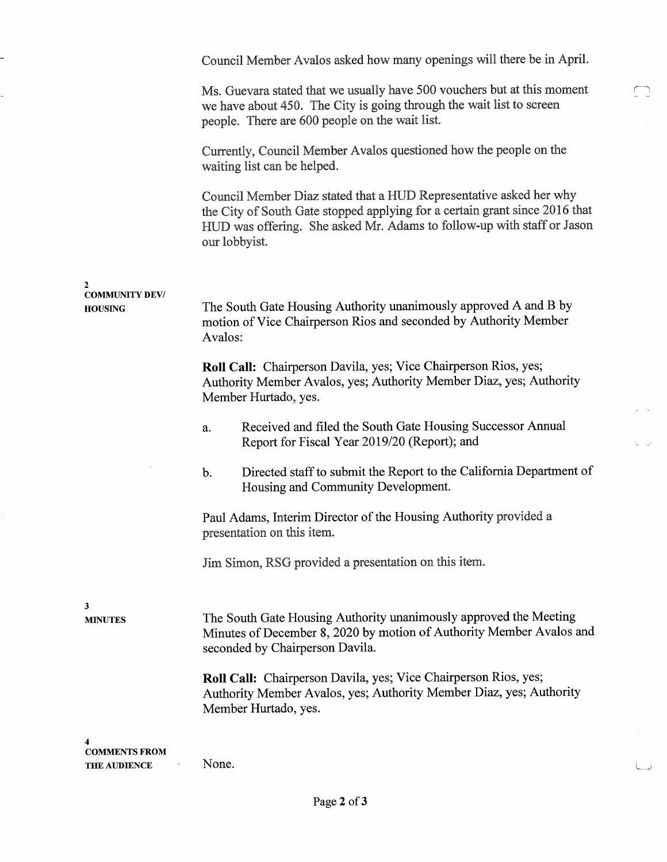Council Mennber Avalos asked how many openings will there be in April. Ms. Guevara stated that we usually have 500 vouchers but at this moment we have about 450. The City is going through the wait list to screen people. There are 600 people on the wait list. Currently, Council Member Avalos questioned how the people on the waiting list can be helped. Council Member Diaz stated that a HUD Representative asked her why the City of South Gate stopped applying for a certain grant since 2016 that HUD was offering. She asked Mr. Adams to follow-up with staff or Jason our lobbyist. 2 COMMUNITY DEV / HOUSING The South Gate Housing Authority unanimously approved A and B by motion of Vice Chairperson Rios and seconded by Authority Member Avalos: Roll Call: Chairperson Davila, yes; Vice Chairperson Rios, yes; Authority Member Avalos, yes; Authority Member Diaz, yes; Authority Member Hurtado, yes. a. b. Received and filed the South Gate Housing Successor Annual Report for Fiscal Year 2019/20 (Report); and Directed staff to submit the Report to the California Department of Housing and Community Development. Paul Adams, Interim Director of the Housing Authority provided a presentation on this item. Jim Sirnon, RSG provided a presentation on this item. 3 MINUTES The South Gate Housing Authority unanimously approved the Meeting Minutes of December 8, 2020 by motion of Authority Member Avalos and seconded by Chairperson Davila. Roll Call: Chairperson Davila, yes; Vice Chairperson Rios, yes; Authority Member Avalos, yes; Authority Member Diaz, yes; Authority Member Hurtado, yes. 4 COMMENTS FRO THE AUDIENCE None.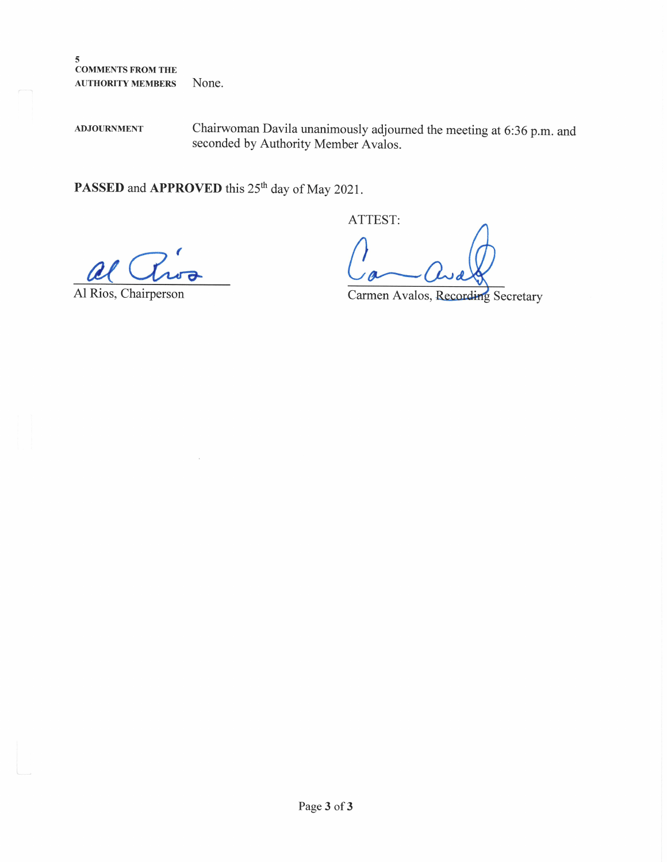$\sqrt{5}$ COMMENTS FROM THE AUTHORITY MEMBERS None.

ADJOURNMENT Chairwoman Davila unanimously adjourned the meeting at 6:36 p.m. and seconded by Authority Member Avalos.

PASSED and APPROVED this 25<sup>th</sup> day of May 2021.

ATTEST:

Al Rios, Chairperson

Carmen Avalos, Recording Secretary